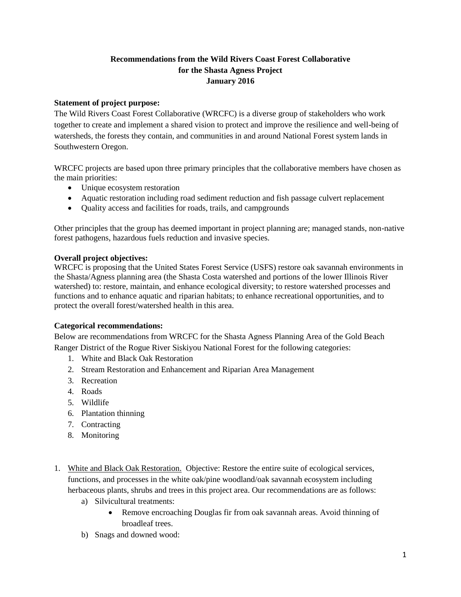# **Recommendations from the Wild Rivers Coast Forest Collaborative for the Shasta Agness Project January 2016**

#### **Statement of project purpose:**

The Wild Rivers Coast Forest Collaborative (WRCFC) is a diverse group of stakeholders who work together to create and implement a shared vision to protect and improve the resilience and well-being of watersheds, the forests they contain, and communities in and around National Forest system lands in Southwestern Oregon.

WRCFC projects are based upon three primary principles that the collaborative members have chosen as the main priorities:

- Unique ecosystem restoration
- Aquatic restoration including road sediment reduction and fish passage culvert replacement
- Quality access and facilities for roads, trails, and campgrounds

Other principles that the group has deemed important in project planning are; managed stands, non-native forest pathogens, hazardous fuels reduction and invasive species.

#### **Overall project objectives:**

WRCFC is proposing that the United States Forest Service (USFS) restore oak savannah environments in the Shasta/Agness planning area (the Shasta Costa watershed and portions of the lower Illinois River watershed) to: restore, maintain, and enhance ecological diversity; to restore watershed processes and functions and to enhance aquatic and riparian habitats; to enhance recreational opportunities, and to protect the overall forest/watershed health in this area.

#### **Categorical recommendations:**

Below are recommendations from WRCFC for the Shasta Agness Planning Area of the Gold Beach Ranger District of the Rogue River Siskiyou National Forest for the following categories:

- 1. White and Black Oak Restoration
- 2. Stream Restoration and Enhancement and Riparian Area Management
- 3. Recreation
- 4. Roads
- 5. Wildlife
- 6. Plantation thinning
- 7. Contracting
- 8. Monitoring
- 1. White and Black Oak Restoration. Objective: Restore the entire suite of ecological services, functions, and processes in the white oak/pine woodland/oak savannah ecosystem including herbaceous plants, shrubs and trees in this project area. Our recommendations are as follows:
	- a) Silvicultural treatments:
		- Remove encroaching Douglas fir from oak savannah areas. Avoid thinning of broadleaf trees.
	- b) Snags and downed wood: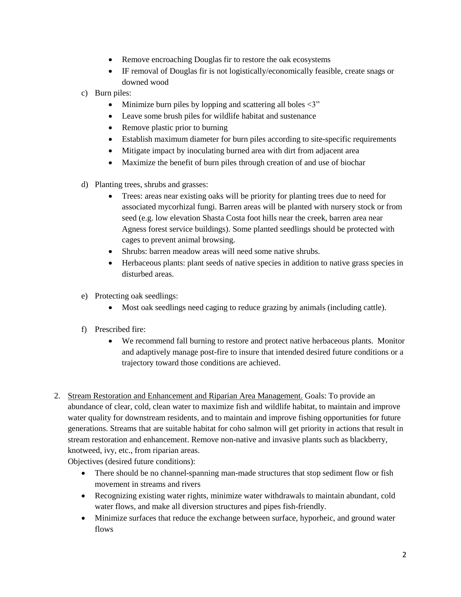- Remove encroaching Douglas fir to restore the oak ecosystems
- IF removal of Douglas fir is not logistically/economically feasible, create snags or downed wood
- c) Burn piles:
	- $\bullet$  Minimize burn piles by lopping and scattering all boles  $\lt 3$ "
	- Leave some brush piles for wildlife habitat and sustenance
	- Remove plastic prior to burning
	- Establish maximum diameter for burn piles according to site-specific requirements
	- Mitigate impact by inoculating burned area with dirt from adjacent area
	- Maximize the benefit of burn piles through creation of and use of biochar
- d) Planting trees, shrubs and grasses:
	- Trees: areas near existing oaks will be priority for planting trees due to need for associated mycorhizal fungi. Barren areas will be planted with nursery stock or from seed (e.g. low elevation Shasta Costa foot hills near the creek, barren area near Agness forest service buildings). Some planted seedlings should be protected with cages to prevent animal browsing.
	- Shrubs: barren meadow areas will need some native shrubs.
	- Herbaceous plants: plant seeds of native species in addition to native grass species in disturbed areas.
- e) Protecting oak seedlings:
	- Most oak seedlings need caging to reduce grazing by animals (including cattle).
- f) Prescribed fire:
	- We recommend fall burning to restore and protect native herbaceous plants. Monitor and adaptively manage post-fire to insure that intended desired future conditions or a trajectory toward those conditions are achieved.
- 2. Stream Restoration and Enhancement and Riparian Area Management. Goals: To provide an abundance of clear, cold, clean water to maximize fish and wildlife habitat, to maintain and improve water quality for downstream residents, and to maintain and improve fishing opportunities for future generations. Streams that are suitable habitat for coho salmon will get priority in actions that result in stream restoration and enhancement. Remove non-native and invasive plants such as blackberry, knotweed, ivy, etc., from riparian areas.

Objectives (desired future conditions):

- There should be no channel-spanning man-made structures that stop sediment flow or fish movement in streams and rivers
- Recognizing existing water rights, minimize water withdrawals to maintain abundant, cold water flows, and make all diversion structures and pipes fish-friendly.
- Minimize surfaces that reduce the exchange between surface, hyporheic, and ground water flows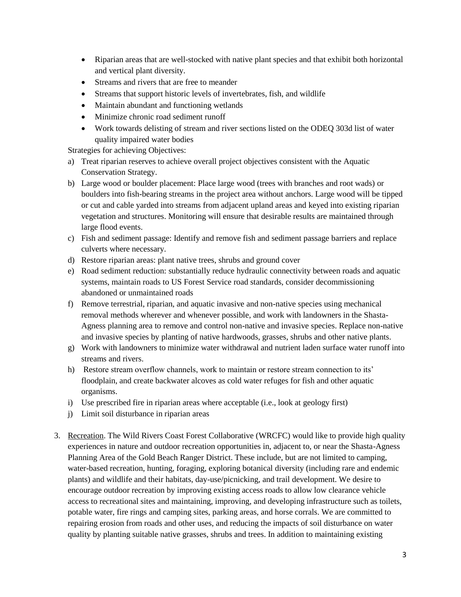- Riparian areas that are well-stocked with native plant species and that exhibit both horizontal and vertical plant diversity.
- Streams and rivers that are free to meander
- Streams that support historic levels of invertebrates, fish, and wildlife
- Maintain abundant and functioning wetlands
- Minimize chronic road sediment runoff
- Work towards delisting of stream and river sections listed on the ODEQ 303d list of water quality impaired water bodies

Strategies for achieving Objectives:

- a) Treat riparian reserves to achieve overall project objectives consistent with the Aquatic Conservation Strategy.
- b) Large wood or boulder placement: Place large wood (trees with branches and root wads) or boulders into fish-bearing streams in the project area without anchors. Large wood will be tipped or cut and cable yarded into streams from adjacent upland areas and keyed into existing riparian vegetation and structures. Monitoring will ensure that desirable results are maintained through large flood events.
- c) Fish and sediment passage: Identify and remove fish and sediment passage barriers and replace culverts where necessary.
- d) Restore riparian areas: plant native trees, shrubs and ground cover
- e) Road sediment reduction: substantially reduce hydraulic connectivity between roads and aquatic systems, maintain roads to US Forest Service road standards, consider decommissioning abandoned or unmaintained roads
- f) Remove terrestrial, riparian, and aquatic invasive and non-native species using mechanical removal methods wherever and whenever possible, and work with landowners in the Shasta-Agness planning area to remove and control non-native and invasive species. Replace non-native and invasive species by planting of native hardwoods, grasses, shrubs and other native plants.
- g) Work with landowners to minimize water withdrawal and nutrient laden surface water runoff into streams and rivers.
- h) Restore stream overflow channels, work to maintain or restore stream connection to its' floodplain, and create backwater alcoves as cold water refuges for fish and other aquatic organisms.
- i) Use prescribed fire in riparian areas where acceptable (i.e., look at geology first)
- j) Limit soil disturbance in riparian areas
- 3. Recreation. The Wild Rivers Coast Forest Collaborative (WRCFC) would like to provide high quality experiences in nature and outdoor recreation opportunities in, adjacent to, or near the Shasta-Agness Planning Area of the Gold Beach Ranger District. These include, but are not limited to camping, water-based recreation, hunting, foraging, exploring botanical diversity (including rare and endemic plants) and wildlife and their habitats, day-use/picnicking, and trail development. We desire to encourage outdoor recreation by improving existing access roads to allow low clearance vehicle access to recreational sites and maintaining, improving, and developing infrastructure such as toilets, potable water, fire rings and camping sites, parking areas, and horse corrals. We are committed to repairing erosion from roads and other uses, and reducing the impacts of soil disturbance on water quality by planting suitable native grasses, shrubs and trees. In addition to maintaining existing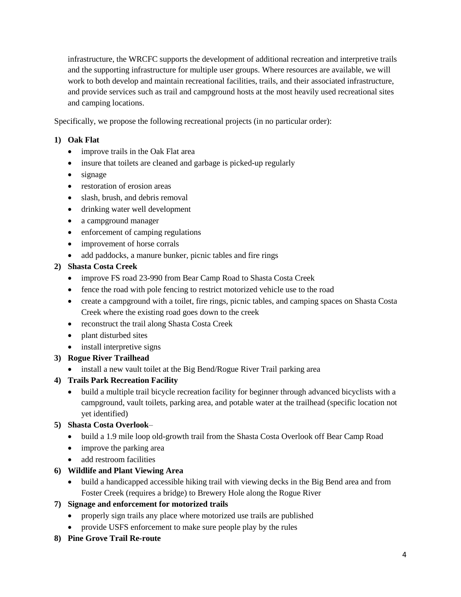infrastructure, the WRCFC supports the development of additional recreation and interpretive trails and the supporting infrastructure for multiple user groups. Where resources are available, we will work to both develop and maintain recreational facilities, trails, and their associated infrastructure, and provide services such as trail and campground hosts at the most heavily used recreational sites and camping locations.

Specifically, we propose the following recreational projects (in no particular order):

# **1) Oak Flat**

- improve trails in the Oak Flat area
- insure that toilets are cleaned and garbage is picked-up regularly
- signage
- restoration of erosion areas
- slash, brush, and debris removal
- drinking water well development
- a campground manager
- enforcement of camping regulations
- improvement of horse corrals
- add paddocks, a manure bunker, picnic tables and fire rings

### **2) Shasta Costa Creek**

- improve FS road 23-990 from Bear Camp Road to Shasta Costa Creek
- fence the road with pole fencing to restrict motorized vehicle use to the road
- create a campground with a toilet, fire rings, picnic tables, and camping spaces on Shasta Costa Creek where the existing road goes down to the creek
- reconstruct the trail along Shasta Costa Creek
- plant disturbed sites
- install interpretive signs

# **3) Rogue River Trailhead**

• install a new vault toilet at the Big Bend/Rogue River Trail parking area

### **4) Trails Park Recreation Facility**

 build a multiple trail bicycle recreation facility for beginner through advanced bicyclists with a campground, vault toilets, parking area, and potable water at the trailhead (specific location not yet identified)

# **5) Shasta Costa Overlook**–

- build a 1.9 mile loop old-growth trail from the Shasta Costa Overlook off Bear Camp Road
- improve the parking area
- add restroom facilities

# **6) Wildlife and Plant Viewing Area**

 build a handicapped accessible hiking trail with viewing decks in the Big Bend area and from Foster Creek (requires a bridge) to Brewery Hole along the Rogue River

### **7) Signage and enforcement for motorized trails**

- properly sign trails any place where motorized use trails are published
- provide USFS enforcement to make sure people play by the rules
- **8) Pine Grove Trail Re-route**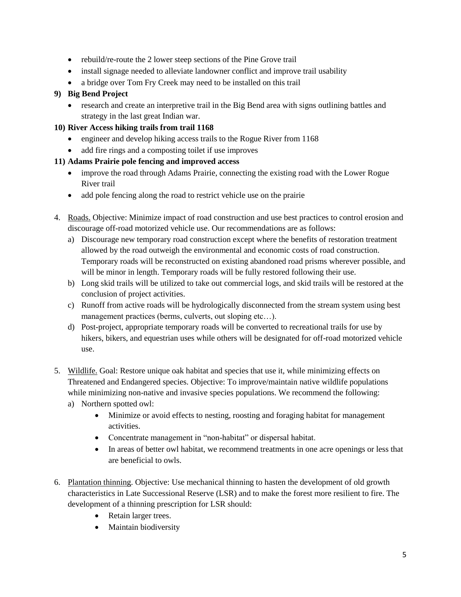- rebuild/re-route the 2 lower steep sections of the Pine Grove trail
- install signage needed to alleviate landowner conflict and improve trail usability
- a bridge over Tom Fry Creek may need to be installed on this trail

### **9) Big Bend Project**

• research and create an interpretive trail in the Big Bend area with signs outlining battles and strategy in the last great Indian war.

### **10) River Access hiking trails from trail 1168**

- engineer and develop hiking access trails to the Rogue River from 1168
- add fire rings and a composting toilet if use improves

### **11) Adams Prairie pole fencing and improved access**

- improve the road through Adams Prairie, connecting the existing road with the Lower Rogue River trail
- add pole fencing along the road to restrict vehicle use on the prairie
- 4. Roads. Objective: Minimize impact of road construction and use best practices to control erosion and discourage off-road motorized vehicle use. Our recommendations are as follows:
	- a) Discourage new temporary road construction except where the benefits of restoration treatment allowed by the road outweigh the environmental and economic costs of road construction. Temporary roads will be reconstructed on existing abandoned road prisms wherever possible, and will be minor in length. Temporary roads will be fully restored following their use.
	- b) Long skid trails will be utilized to take out commercial logs, and skid trails will be restored at the conclusion of project activities.
	- c) Runoff from active roads will be hydrologically disconnected from the stream system using best management practices (berms, culverts, out sloping etc...).
	- d) Post-project, appropriate temporary roads will be converted to recreational trails for use by hikers, bikers, and equestrian uses while others will be designated for off-road motorized vehicle use.
- 5. Wildlife. Goal: Restore unique oak habitat and species that use it, while minimizing effects on Threatened and Endangered species. Objective: To improve/maintain native wildlife populations while minimizing non-native and invasive species populations. We recommend the following:
	- a) Northern spotted owl:
		- Minimize or avoid effects to nesting, roosting and foraging habitat for management activities.
		- Concentrate management in "non-habitat" or dispersal habitat.
		- In areas of better owl habitat, we recommend treatments in one acre openings or less that are beneficial to owls.
- 6. Plantation thinning. Objective: Use mechanical thinning to hasten the development of old growth characteristics in Late Successional Reserve (LSR) and to make the forest more resilient to fire. The development of a thinning prescription for LSR should:
	- Retain larger trees.
	- Maintain biodiversity